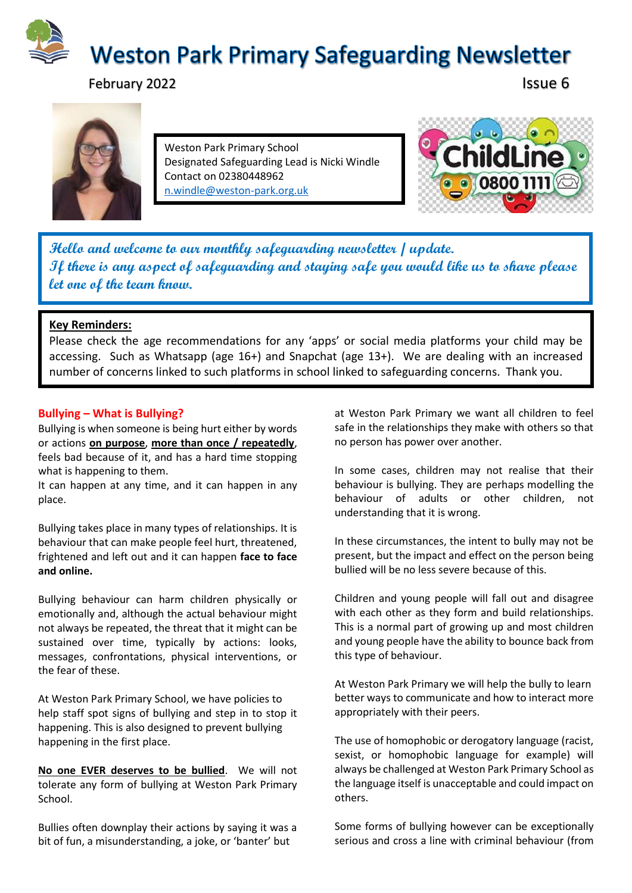

February 2022 **Issue 6** 



Weston Park Primary School Designated Safeguarding Lead is Nicki Windle Contact on 02380448962 [n.windle@weston-park.org.uk](mailto:n.windle@weston-park.org.uk)



**Hello and welcome to our monthly safeguarding newsletter / update. If there is any aspect of safeguarding and staying safe you would like us to share please let one of the team know.** 

## **Key Reminders:**

Please check the age recommendations for any 'apps' or social media platforms your child may be accessing. Such as Whatsapp (age 16+) and Snapchat (age 13+). We are dealing with an increased number of concerns linked to such platforms in school linked to safeguarding concerns. Thank you.

## **Bullying – What is Bullying?**

Bullying is when someone is being hurt either by words or actions **on purpose**, **more than once / repeatedly**, feels bad because of it, and has a hard time stopping what is happening to them.

It can happen at any time, and it can happen in any place.

Bullying takes place in many types of relationships. It is behaviour that can make people feel hurt, threatened, frightened and left out and it can happen **face to face and online.** 

Bullying behaviour can harm children physically or emotionally and, although the actual behaviour might not always be repeated, the threat that it might can be sustained over time, typically by actions: looks, messages, confrontations, physical interventions, or the fear of these.

At Weston Park Primary School, we have policies to help staff spot signs of bullying and step in to stop it happening. This is also designed to prevent bullying happening in the first place.

**No one EVER deserves to be bullied**. We will not tolerate any form of bullying at Weston Park Primary School.

Bullies often downplay their actions by saying it was a bit of fun, a misunderstanding, a joke, or 'banter' but

at Weston Park Primary we want all children to feel safe in the relationships they make with others so that no person has power over another.

In some cases, children may not realise that their behaviour is bullying. They are perhaps modelling the behaviour of adults or other children, not understanding that it is wrong.

In these circumstances, the intent to bully may not be present, but the impact and effect on the person being bullied will be no less severe because of this.

Children and young people will fall out and disagree with each other as they form and build relationships. This is a normal part of growing up and most children and young people have the ability to bounce back from this type of behaviour.

At Weston Park Primary we will help the bully to learn better ways to communicate and how to interact more appropriately with their peers.

The use of homophobic or derogatory language (racist, sexist, or homophobic language for example) will always be challenged at Weston Park Primary School as the language itself is unacceptable and could impact on others.

Some forms of bullying however can be exceptionally serious and cross a line with criminal behaviour (from